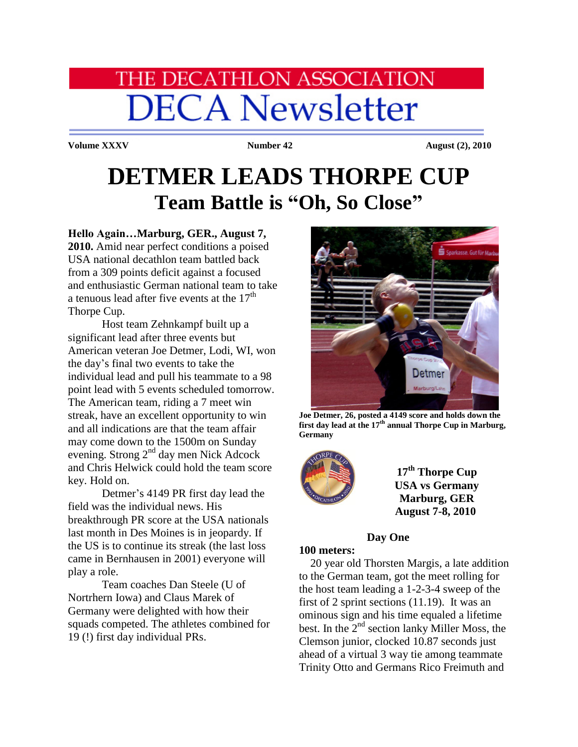# HE DECATHLON ASSOCIATION **DECA Newsletter**

**Volume XXXV** Number 42 August (2), 2010

## **DETMER LEADS THORPE CUP Team Battle is "Oh, So Close"**

#### **Hello Again…Marburg, GER., August 7,**

**2010.** Amid near perfect conditions a poised USA national decathlon team battled back from a 309 points deficit against a focused and enthusiastic German national team to take a tenuous lead after five events at the  $17<sup>th</sup>$ Thorpe Cup.

Host team Zehnkampf built up a significant lead after three events but American veteran Joe Detmer, Lodi, WI, won the day's final two events to take the individual lead and pull his teammate to a 98 point lead with 5 events scheduled tomorrow. The American team, riding a 7 meet win streak, have an excellent opportunity to win and all indications are that the team affair may come down to the 1500m on Sunday evening. Strong 2nd day men Nick Adcock and Chris Helwick could hold the team score key. Hold on.

Detmer's 4149 PR first day lead the field was the individual news. His breakthrough PR score at the USA nationals last month in Des Moines is in jeopardy. If the US is to continue its streak (the last loss came in Bernhausen in 2001) everyone will play a role.

Team coaches Dan Steele (U of Nortrhern Iowa) and Claus Marek of Germany were delighted with how their squads competed. The athletes combined for 19 (!) first day individual PRs.



**Joe Detmer, 26, posted a 4149 score and holds down the first day lead at the 17th annual Thorpe Cup in Marburg, Germany**



**17th Thorpe Cup USA vs Germany Marburg, GER August 7-8, 2010**

#### **Day One**

#### **100 meters:**

 20 year old Thorsten Margis, a late addition to the German team, got the meet rolling for the host team leading a 1-2-3-4 sweep of the first of 2 sprint sections (11.19). It was an ominous sign and his time equaled a lifetime best. In the  $2<sup>nd</sup>$  section lanky Miller Moss, the Clemson junior, clocked 10.87 seconds just ahead of a virtual 3 way tie among teammate Trinity Otto and Germans Rico Freimuth and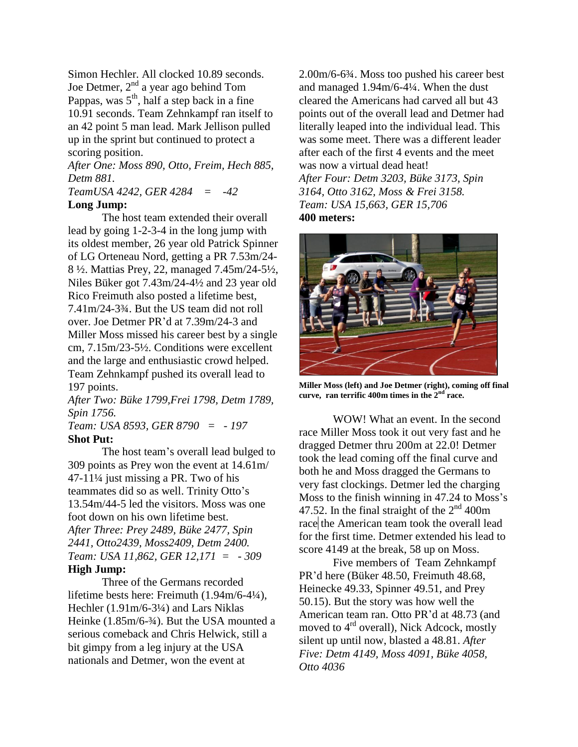Simon Hechler. All clocked 10.89 seconds. Joe Detmer,  $2<sup>nd</sup>$  a year ago behind Tom Pappas, was  $5<sup>th</sup>$ , half a step back in a fine 10.91 seconds. Team Zehnkampf ran itself to an 42 point 5 man lead. Mark Jellison pulled up in the sprint but continued to protect a scoring position.

*After One: Moss 890, Otto, Freim, Hech 885, Detm 881.*

#### *TeamUSA 4242, GER 4284 = -42*  **Long Jump:**

The host team extended their overall lead by going 1-2-3-4 in the long jump with its oldest member, 26 year old Patrick Spinner of LG Orteneau Nord, getting a PR 7.53m/24- 8 ½. Mattias Prey, 22, managed 7.45m/24-5½, Niles Büker got 7.43m/24-4½ and 23 year old Rico Freimuth also posted a lifetime best, 7.41m/24-3¾. But the US team did not roll over. Joe Detmer PR'd at 7.39m/24-3 and Miller Moss missed his career best by a single cm, 7.15m/23-5½. Conditions were excellent and the large and enthusiastic crowd helped. Team Zehnkampf pushed its overall lead to 197 points.

*After Two: Büke 1799,Frei 1798, Detm 1789, Spin 1756.*

*Team: USA 8593, GER 8790 = - 197* **Shot Put:**

The host team's overall lead bulged to 309 points as Prey won the event at 14.61m/ 47-11¼ just missing a PR. Two of his teammates did so as well. Trinity Otto's 13.54m/44-5 led the visitors. Moss was one foot down on his own lifetime best. *After Three: Prey 2489, Büke 2477, Spin 2441, Otto2439, Moss2409, Detm 2400. Team: USA 11,862, GER 12,171 = - 309*

#### **High Jump:**

Three of the Germans recorded lifetime bests here: Freimuth (1.94m/6-4¼), Hechler (1.91m/6-3¼) and Lars Niklas Heinke (1.85m/6-3⁄4). But the USA mounted a serious comeback and Chris Helwick, still a bit gimpy from a leg injury at the USA nationals and Detmer, won the event at

2.00m/6-6¾. Moss too pushed his career best and managed 1.94m/6-4¼. When the dust cleared the Americans had carved all but 43 points out of the overall lead and Detmer had literally leaped into the individual lead. This was some meet. There was a different leader after each of the first 4 events and the meet was now a virtual dead heat! *After Four: Detm 3203, Büke 3173, Spin 3164, Otto 3162, Moss & Frei 3158. Team: USA 15,663, GER 15,706* **400 meters:**



**Miller Moss (left) and Joe Detmer (right), coming off final curve, ran terrific 400m times in the 2nd race.**

WOW! What an event. In the second race Miller Moss took it out very fast and he dragged Detmer thru 200m at 22.0! Detmer took the lead coming off the final curve and both he and Moss dragged the Germans to very fast clockings. Detmer led the charging Moss to the finish winning in 47.24 to Moss's 47.52. In the final straight of the  $2<sup>nd</sup>$  400m race the American team took the overall lead for the first time. Detmer extended his lead to score 4149 at the break, 58 up on Moss.

Five members of Team Zehnkampf PR'd here (Büker 48.50, Freimuth 48.68, Heinecke 49.33, Spinner 49.51, and Prey 50.15). But the story was how well the American team ran. Otto PR'd at 48.73 (and moved to 4<sup>rd</sup> overall), Nick Adcock, mostly silent up until now, blasted a 48.81. *After Five: Detm 4149, Moss 4091, Büke 4058, Otto 4036*